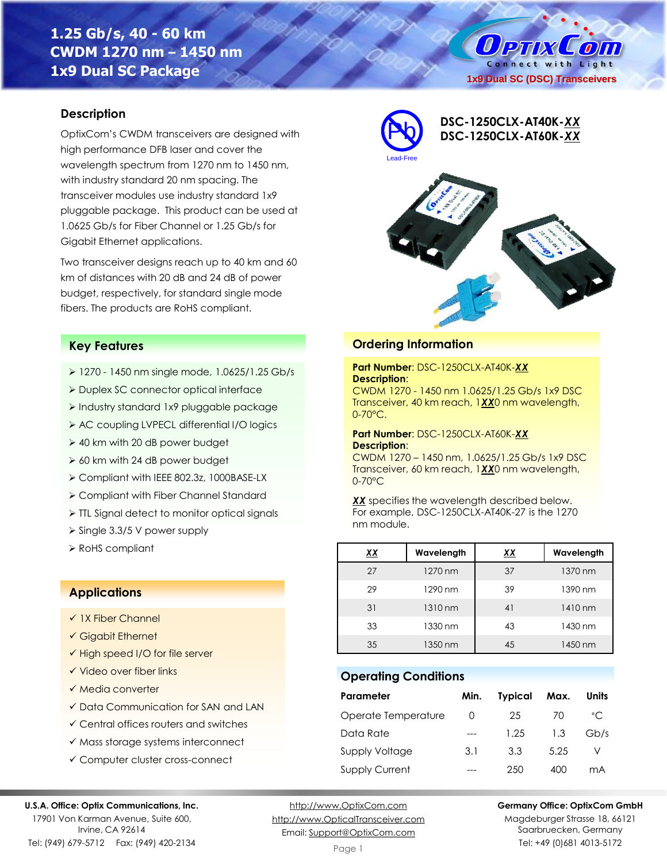# **1.25 Gb/s, 40 - 60 km CWDM 1270 nm – 1450 nm 1x9 Dual SC Package**

O PTIX  $\mathcal{L}$  only Connect with Light **1x9 Dual SC (DSC) Transceivers**

### **Description**

OptixCom's CWDM transceivers are designed with high performance DFB laser and cover the wavelength spectrum from 1270 nm to 1450 nm, with industry standard 20 nm spacing. The transceiver modules use industry standard 1x9 pluggable package. This product can be used at 1.0625 Gb/s for Fiber Channel or 1.25 Gb/s for Gigabit Ethernet applications.

Two transceiver designs reach up to 40 km and 60 km of distances with 20 dB and 24 dB of power budget, respectively, for standard single mode fibers. The products are RoHS compliant.



**Ordering Information**

**Description**:

**Description**:

nm module.

**Operating Conditions**

0-70°C.

0-70°C

**Part Number**: DSC-1250CLX-AT40K-*XX*

**Part Number**: DSC-1250CLX-AT60K-*XX*

CWDM 1270 - 1450 nm 1.0625/1.25 Gb/s 1x9 DSC Transceiver, 40 km reach, 1*XX*0 nm wavelength,

CWDM 1270 – 1450 nm, 1.0625/1.25 Gb/s 1x9 DSC Transceiver, 60 km reach, 1*XX*0 nm wavelength,

*XX* specifies the wavelength described below. For example, DSC-1250CLX-AT40K-27 is the 1270

 1270 nm 37 1370 nm 1290 nm 39 1390 nm 31 1310 nm 41 1410 nm 1330 nm 43 1430 nm 1350 nm 45 1450 nm

**Parameter Min. Typical Max. Units** Operate Temperature 0 25 70 °C Data Rate --- 1.25 1.3 Gb/s Supply Voltage 3.1 3.3 5.25 V Supply Current --- 250 400 mA

#### **Key Features**

- ➢ 1270 1450 nm single mode, 1.0625/1.25 Gb/s
- ➢ Duplex SC connector optical interface
- ➢ Industry standard 1x9 pluggable package
- ➢ AC coupling LVPECL differential I/O logics
- ➢ 40 km with 20 dB power budget
- ➢ 60 km with 24 dB power budget
- ➢ Compliant with IEEE 802.3z, 1000BASE-LX
- ➢ Compliant with Fiber Channel Standard
- ➢ TTL Signal detect to monitor optical signals
- ➢ Single 3.3/5 V power supply
- ➢ RoHS compliant *XX* **Wavelength** *XX* **Wavelength**

#### **Applications**

- ✓ 1X Fiber Channel
- ✓ Gigabit Ethernet
- ✓ High speed I/O for file server
- ✓ Video over fiber links
- ✓ Media converter
- ✓ Data Communication for SAN and LAN
- ✓ Central offices routers and switches
- ✓ Mass storage systems interconnect
- ✓ Computer cluster cross-connect

#### **U.S.A. Office: Optix Communications, Inc.**

17901 Von Karman Avenue, Suite 600, Irvine, CA 92614

Tel: (949) 679-5712 Fax: (949) 420-2134

[http://www.OptixCom.com](http://www.optixcom.com/) [http://www.OpticalTransceiver.com](http://www.optoictech.com/) Email: [Support@OptixCom.com](mailto:Support@optoICtech.com)

**Germany Office: OptixCom GmbH** Magdeburger Strasse 18, 66121 Saarbruecken, Germany

Tel: +49 (0)681 4013-5172

#### Page 1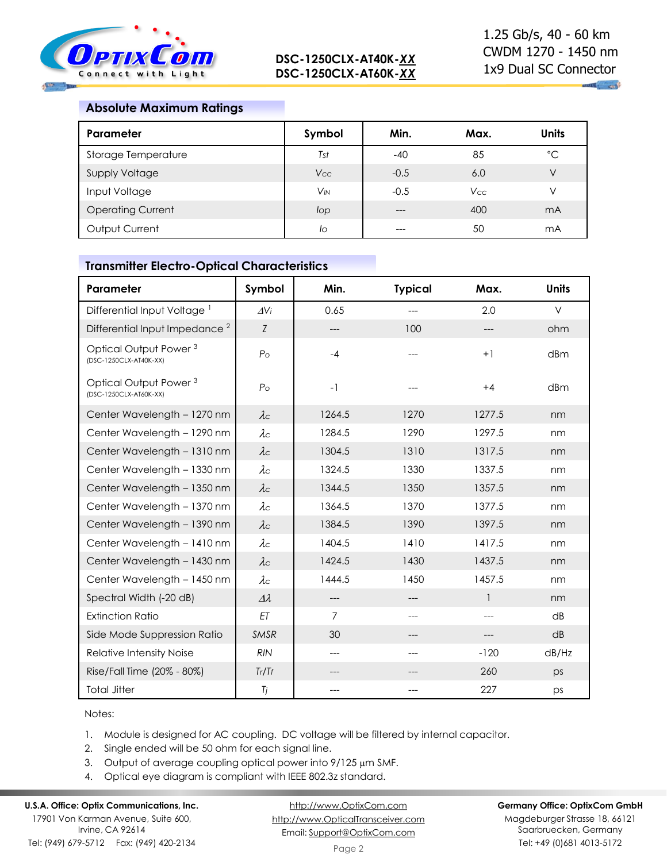

# **Absolute Maximum Ratings**

| Parameter                | Symbol                | Min.   | Max.       | Units          |
|--------------------------|-----------------------|--------|------------|----------------|
| Storage Temperature      | Tst                   | $-40$  | 85         | $^{\circ}C$    |
| <b>Supply Voltage</b>    | <b>Vcc</b>            | $-0.5$ | 6.0        | V              |
| Input Voltage            | <b>V<sub>IN</sub></b> | $-0.5$ | <b>Vcc</b> | V              |
| <b>Operating Current</b> | lop                   | $---$  | 400        | m <sub>A</sub> |
| Output Current           | lo                    | ---    | 50         | mA             |

#### **Transmitter Electro-Optical Characteristics**

| Parameter                                                   | Symbol             | Min.           | <b>Typical</b> | Max.         | <b>Units</b> |
|-------------------------------------------------------------|--------------------|----------------|----------------|--------------|--------------|
| Differential Input Voltage <sup>1</sup>                     | $\Delta$ Vi        | 0.65           | $---$          | 2.0          | $\vee$       |
| Differential Input Impedance <sup>2</sup>                   | $\boldsymbol{Z}$   | ---            | 100            |              | ohm          |
| Optical Output Power <sup>3</sup><br>(DSC-1250CLX-AT40K-XX) | P <sub>O</sub>     | $-4$           |                | $+1$         | dBm          |
| Optical Output Power <sup>3</sup><br>(DSC-1250CLX-AT60K-XX) | P <sub>O</sub>     | $-1$           |                | $+4$         | dBm          |
| Center Wavelength - 1270 nm                                 | $\lambda c$        | 1264.5         | 1270           | 1277.5       | nm           |
| Center Wavelength - 1290 nm                                 | $\lambda c$        | 1284.5         | 1290           | 1297.5       | nm           |
| Center Wavelength - 1310 nm                                 | $\lambda c$        | 1304.5         | 1310           | 1317.5       | nm           |
| Center Wavelength - 1330 nm                                 | $\lambda c$        | 1324.5         | 1330           | 1337.5       | nm           |
| Center Wavelength - 1350 nm                                 | $\lambda c$        | 1344.5         | 1350           | 1357.5       | nm           |
| Center Wavelength - 1370 nm                                 | $\lambda c$        | 1364.5         | 1370           | 1377.5       | nm           |
| Center Wavelength - 1390 nm                                 | $\lambda c$        | 1384.5         | 1390           | 1397.5       | nm           |
| Center Wavelength - 1410 nm                                 | $\lambda c$        | 1404.5         | 1410           | 1417.5       | nm           |
| Center Wavelength - 1430 nm                                 | $\lambda c$        | 1424.5         | 1430           | 1437.5       | nm           |
| Center Wavelength - 1450 nm                                 | $\lambda c$        | 1444.5         | 1450           | 1457.5       | nm           |
| Spectral Width (-20 dB)                                     | $\varDelta\lambda$ | ---            | $---$          | $\mathbf{1}$ | nm           |
| <b>Extinction Ratio</b>                                     | ET                 | $\overline{7}$ | ---            | ---          | dB           |
| Side Mode Suppression Ratio                                 | <b>SMSR</b>        | 30             | ---            | ---          | dB           |
| Relative Intensity Noise                                    | <b>RIN</b>         | ---            | ---            | $-120$       | dB/Hz        |
| Rise/Fall Time (20% - 80%)                                  | Tr/Tr              |                |                | 260          | ps           |
| <b>Total Jitter</b>                                         | Tj                 | ---            |                | 227          | ps           |

Notes:

1. Module is designed for AC coupling. DC voltage will be filtered by internal capacitor.

2. Single ended will be 50 ohm for each signal line.

- 3. Output of average coupling optical power into  $9/125 \mu m$  SMF.
- 4. Optical eye diagram is compliant with IEEE 802.3z standard.

## **U.S.A. Office: Optix Communications, Inc.**

17901 Von Karman Avenue, Suite 600, Irvine, CA 92614 Tel: (949) 679-5712 Fax: (949) 420-2134

[http://www.OptixCom.com](http://www.optixcom.com/) [http://www.OpticalTransceiver.com](http://www.optoictech.com/) Email: [Support@OptixCom.com](mailto:Support@optoICtech.com)

#### **Germany Office: OptixCom GmbH**

Magdeburger Strasse 18, 66121 Saarbruecken, Germany Tel: +49 (0)681 4013-5172